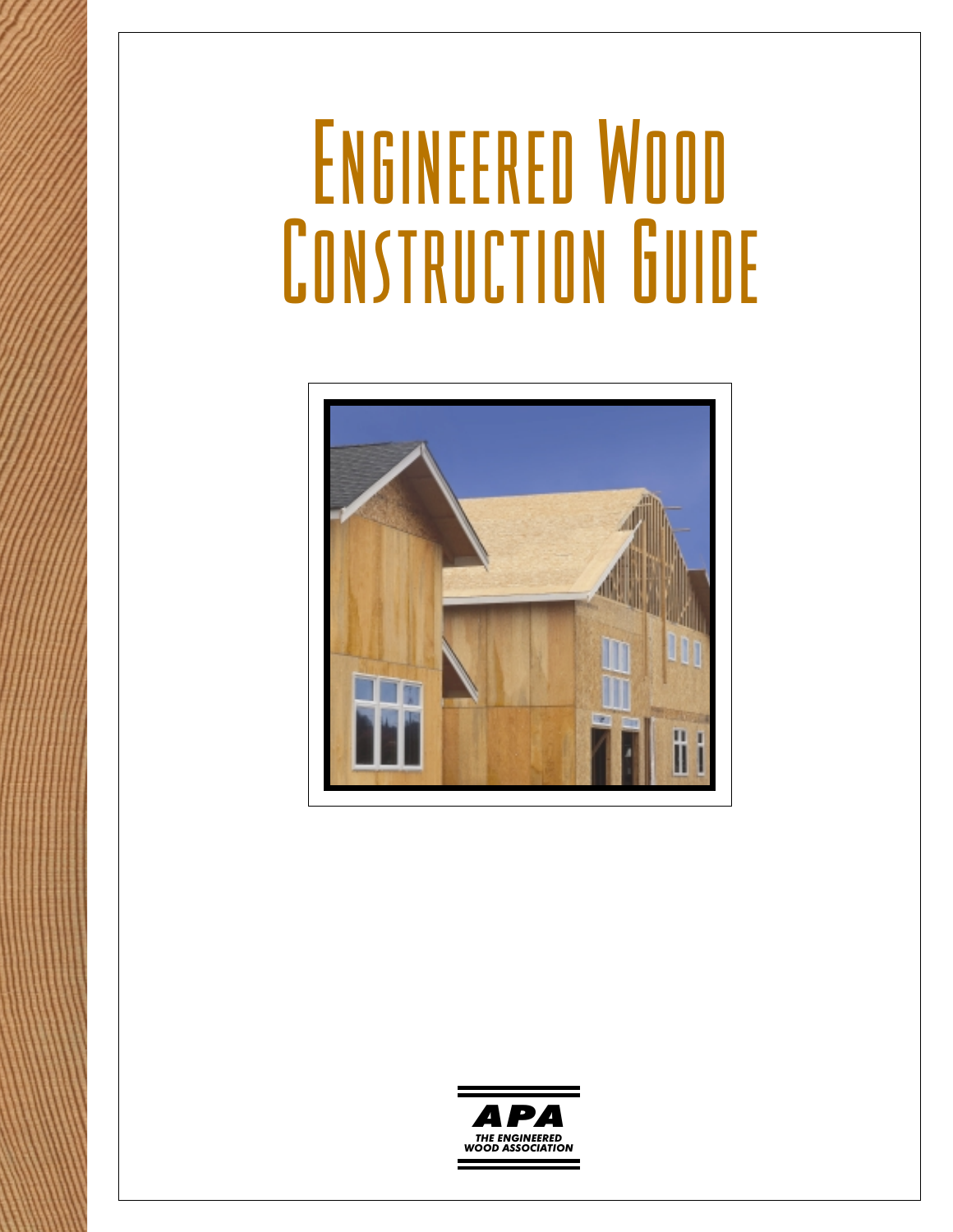# ENGINEERED WOOD **CONSTRUCTION GUIDE**



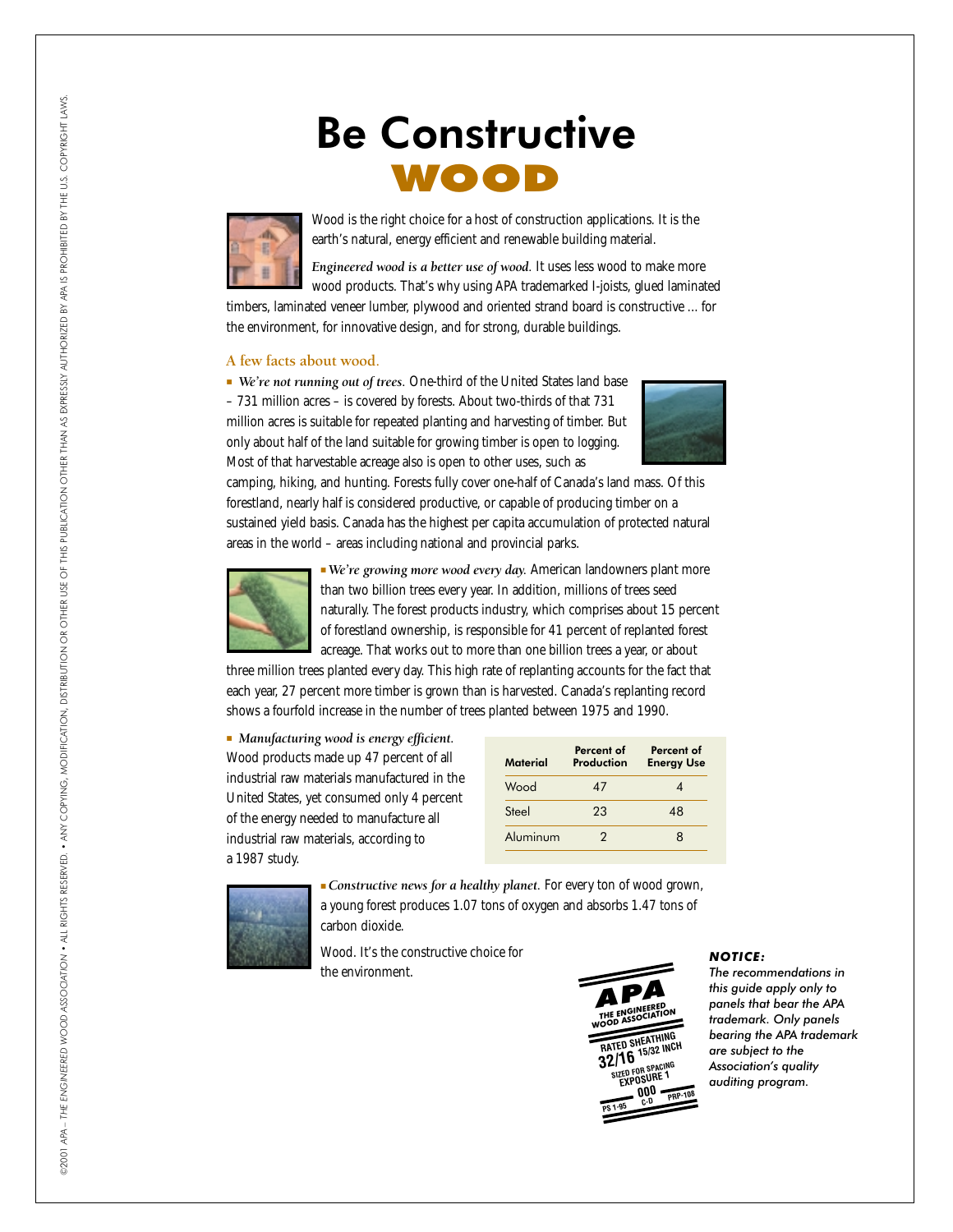# Be Constructive WOOD



Wood is the right choice for a host of construction applications. It is the earth's natural, energy efficient and renewable building material.

*Engineered wood is a better use of wood.* It uses less wood to make more wood products. That's why using APA trademarked I-joists, glued laminated

timbers, laminated veneer lumber, plywood and oriented strand board is constructive ... for the environment, for innovative design, and for strong, durable buildings.

# **A few facts about wood.**

■ *We're not running out of trees.* One-third of the United States land base – 731 million acres – is covered by forests. About two-thirds of that 731 million acres is suitable for repeated planting and harvesting of timber. But only about half of the land suitable for growing timber is open to logging. Most of that harvestable acreage also is open to other uses, such as



camping, hiking, and hunting. Forests fully cover one-half of Canada's land mass. Of this forestland, nearly half is considered productive, or capable of producing timber on a sustained yield basis. Canada has the highest per capita accumulation of protected natural areas in the world – areas including national and provincial parks.



■ *We're growing more wood every day.* American landowners plant more than two billion trees every year. In addition, millions of trees seed naturally. The forest products industry, which comprises about 15 percent of forestland ownership, is responsible for 41 percent of replanted forest acreage. That works out to more than one billion trees a year, or about

three million trees planted every day. This high rate of replanting accounts for the fact that each year, 27 percent more timber is grown than is harvested. Canada's replanting record shows a fourfold increase in the number of trees planted between 1975 and 1990.

■ *Manufacturing wood is energy efficient.* Wood products made up 47 percent of all industrial raw materials manufactured in the United States, yet consumed only 4 percent of the energy needed to manufacture all industrial raw materials, according to a 1987 study.

| <b>Material</b> | Percent of<br>Production | Percent of<br><b>Energy Use</b> |
|-----------------|--------------------------|---------------------------------|
| Wood            | 47                       |                                 |
| Steel           | 23                       | 48                              |
| Aluminum        | 2                        | 8                               |



■ *Constructive news for a healthy planet.* For every ton of wood grown, a young forest produces 1.07 tons of oxygen and absorbs 1.47 tons of carbon dioxide.

Wood. It's the constructive choice for the environment.



# *NOTICE:*

*The recommendations in this guide apply only to panels that bear the APA trademark. Only panels bearing the APA trademark are subject to the Association's quality auditing program.*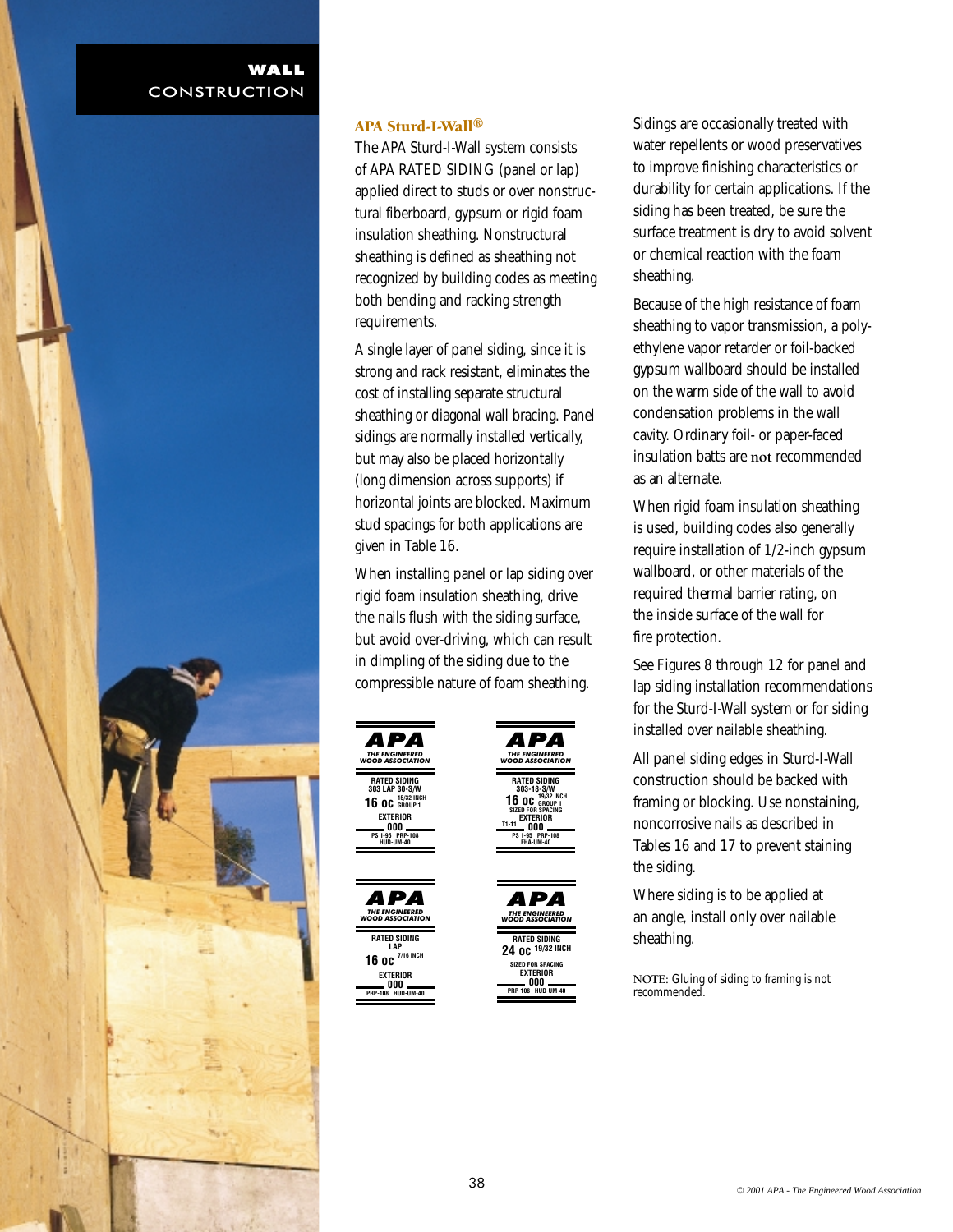

# APA Sturd-I-Wall®

The APA Sturd-I-Wall system consists of APA RATED SIDING (panel or lap) applied direct to studs or over nonstructural fiberboard, gypsum or rigid foam insulation sheathing. Nonstructural sheathing is defined as sheathing not recognized by building codes as meeting both bending and racking strength requirements.

A single layer of panel siding, since it is strong and rack resistant, eliminates the cost of installing separate structural sheathing or diagonal wall bracing. Panel sidings are normally installed vertically, but may also be placed horizontally (long dimension across supports) if horizontal joints are blocked. Maximum stud spacings for both applications are given in Table 16.

When installing panel or lap siding over rigid foam insulation sheathing, drive the nails flush with the siding surface, but avoid over-driving, which can result in dimpling of the siding due to the compressible nature of foam sheathing.

> **RATED SIDING 303-18-S/W 19/32 INCH 16 oc GROUP 1 EXTERIOR 000 PS 1-95 PRP-108 FHA-UM-40**

**RATED SIDING 24 oc 19/32 INCH SIZED FOR SPACING EXTERIOR**

**000 PRP-108 HUD-UM-40**

*THE ENGINEERED WOOD ASSOCIATION APA*

**T1-11** 

*THE ENGINEERED WOOD ASSOCIATION APA*

**SPACING** 



Sidings are occasionally treated with water repellents or wood preservatives to improve finishing characteristics or durability for certain applications. If the siding has been treated, be sure the surface treatment is dry to avoid solvent or chemical reaction with the foam sheathing.

Because of the high resistance of foam sheathing to vapor transmission, a polyethylene vapor retarder or foil-backed gypsum wallboard should be installed on the warm side of the wall to avoid condensation problems in the wall cavity. Ordinary foil- or paper-faced insulation batts are **not** recommended as an alternate.

When rigid foam insulation sheathing is used, building codes also generally require installation of 1/2-inch gypsum wallboard, or other materials of the required thermal barrier rating, on the inside surface of the wall for fire protection.

See Figures 8 through 12 for panel and lap siding installation recommendations for the Sturd-I-Wall system or for siding installed over nailable sheathing.

All panel siding edges in Sturd-I-Wall construction should be backed with framing or blocking. Use nonstaining, noncorrosive nails as described in Tables 16 and 17 to prevent staining the siding.

Where siding is to be applied at an angle, install only over nailable sheathing.

**NOTE:** Gluing of siding to framing is not recommended.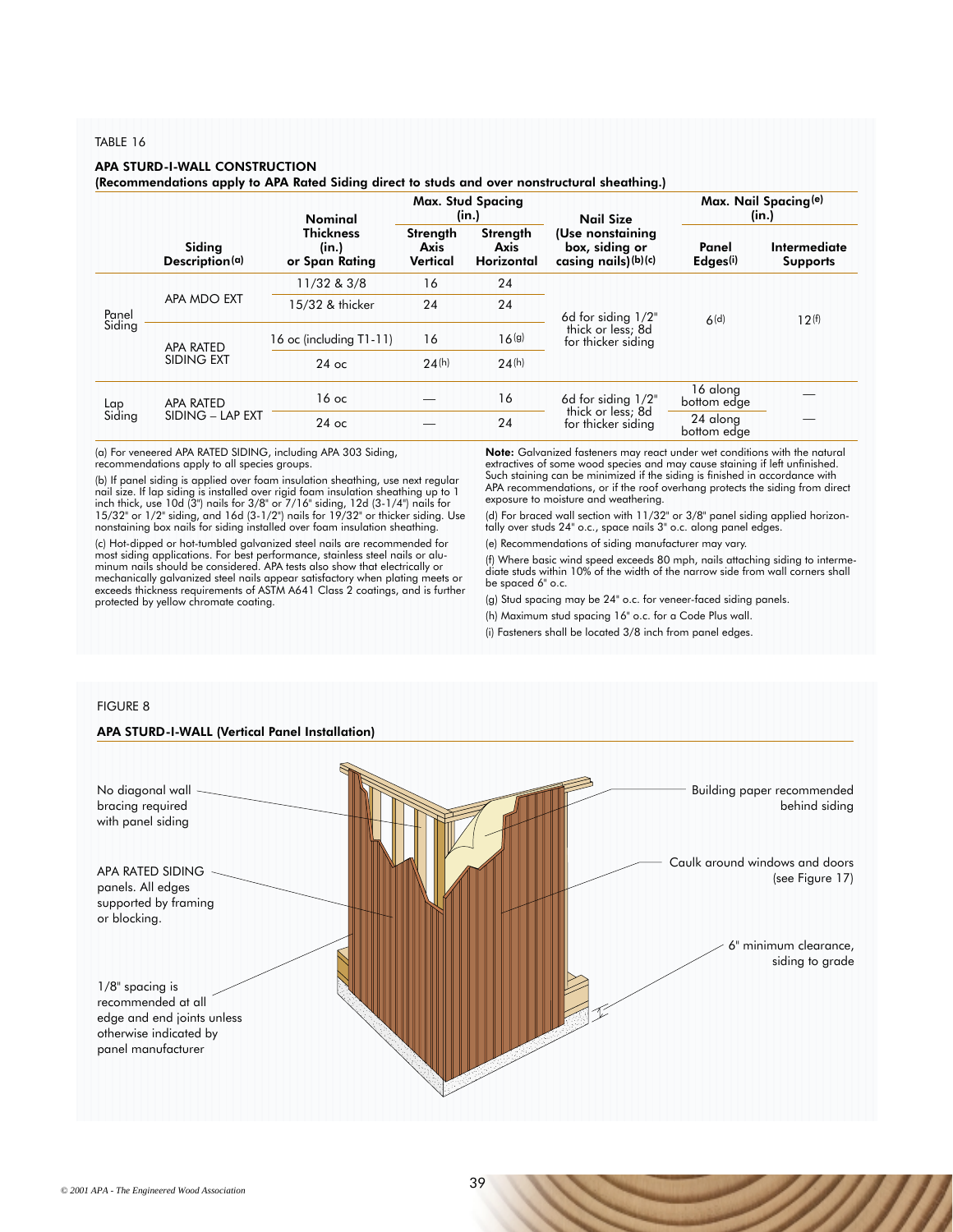#### TABLE 16

#### APA STURD-I-WALL CONSTRUCTION

(Recommendations apply to APA Rated Siding direct to studs and over nonstructural sheathing.)

|                 |                          | Nominal                                                                             |    | <b>Max. Stud Spacing</b><br>(in.) | <b>Nail Size</b>                                             |                               | Max. Nail Spacing <sup>(e)</sup><br>(in.) |
|-----------------|--------------------------|-------------------------------------------------------------------------------------|----|-----------------------------------|--------------------------------------------------------------|-------------------------------|-------------------------------------------|
|                 | Siding<br>Description(a) | <b>Thickness</b><br>Strength<br>(in.)<br>Axis<br>Axis<br>Vertical<br>or Span Rating |    | Strength<br><b>Horizontal</b>     | (Use nonstaining<br>box, siding or<br>casing nails) $(b)(c)$ | Panel<br>Edges <sup>(i)</sup> | Intermediate<br><b>Supports</b>           |
| Panel<br>Siding |                          | 11/32 & 3/8                                                                         | 16 | 24                                |                                                              | 6(d)                          |                                           |
|                 | APA MDO EXT              | 15/32 & thicker                                                                     | 24 | 24                                | 6d for siding 1/2"                                           |                               | 12(f)                                     |
|                 | <b>APA RATED</b>         | 16 oc (including T1-11)                                                             | 16 | 16 <sup>(g)</sup>                 | thick or less; 8d<br>for thicker siding                      |                               |                                           |
|                 | SIDING EXT               | 24(h)<br>$24$ oc                                                                    |    | 24(h)                             |                                                              |                               |                                           |
| Lap<br>Siding   | <b>APA RATED</b>         | 16<br>$16$ oc<br>24<br>$24$ oc                                                      |    |                                   | 6d for siding $1/2$ "                                        | 16 along<br>bottom edge       |                                           |
|                 | SIDING - LAP EXT         |                                                                                     |    |                                   | thick or less; 8d<br>for thicker siding                      | 24 along<br>bottom edge       |                                           |

(a) For veneered APA RATED SIDING, including APA 303 Siding, recommendations apply to all species groups.

(b) If panel siding is applied over foam insulation sheathing, use next regular nail size. If lap siding is installed over rigid foam insulation sheathing up to 1 inch thick, use 10d (3") nails for 3/8" or 7/16" siding, 12d (3-1/4") nails for 15/32" or 1/2" siding, and 16d (3-1/2") nails for 19/32" or thicker siding. Use nonstaining box nails for siding installed over foam insulation sheathing.

(c) Hot-dipped or hot-tumbled galvanized steel nails are recommended for most siding applications. For best performance, stainless steel nails or alu-minum nails should be considered. APA tests also show that electrically or mechanically galvanized steel nails appear satisfactory when plating meets or exceeds thickness requirements of ASTM A641 Class 2 coatings, and is further protected by yellow chromate coating.

Note: Galvanized fasteners may react under wet conditions with the natural extractives of some wood species and may cause staining if left unfinished. Such staining can be minimized if the siding is finished in accordance with APA recommendations, or if the roof overhang protects the siding from direct exposure to moisture and weathering.

(d) For braced wall section with 11/32" or 3/8" panel siding applied horizontally over studs 24" o.c., space nails 3" o.c. along panel edges.

(e) Recommendations of siding manufacturer may vary.

(f) Where basic wind speed exceeds 80 mph, nails attaching siding to intermediate studs within 10% of the width of the narrow side from wall corners shall be spaced 6" o.c.

(g) Stud spacing may be 24" o.c. for veneer-faced siding panels.

(h) Maximum stud spacing 16" o.c. for a Code Plus wall.

(i) Fasteners shall be located 3/8 inch from panel edges.

#### FIGURE 8

# APA STURD-I-WALL (Vertical Panel Installation)

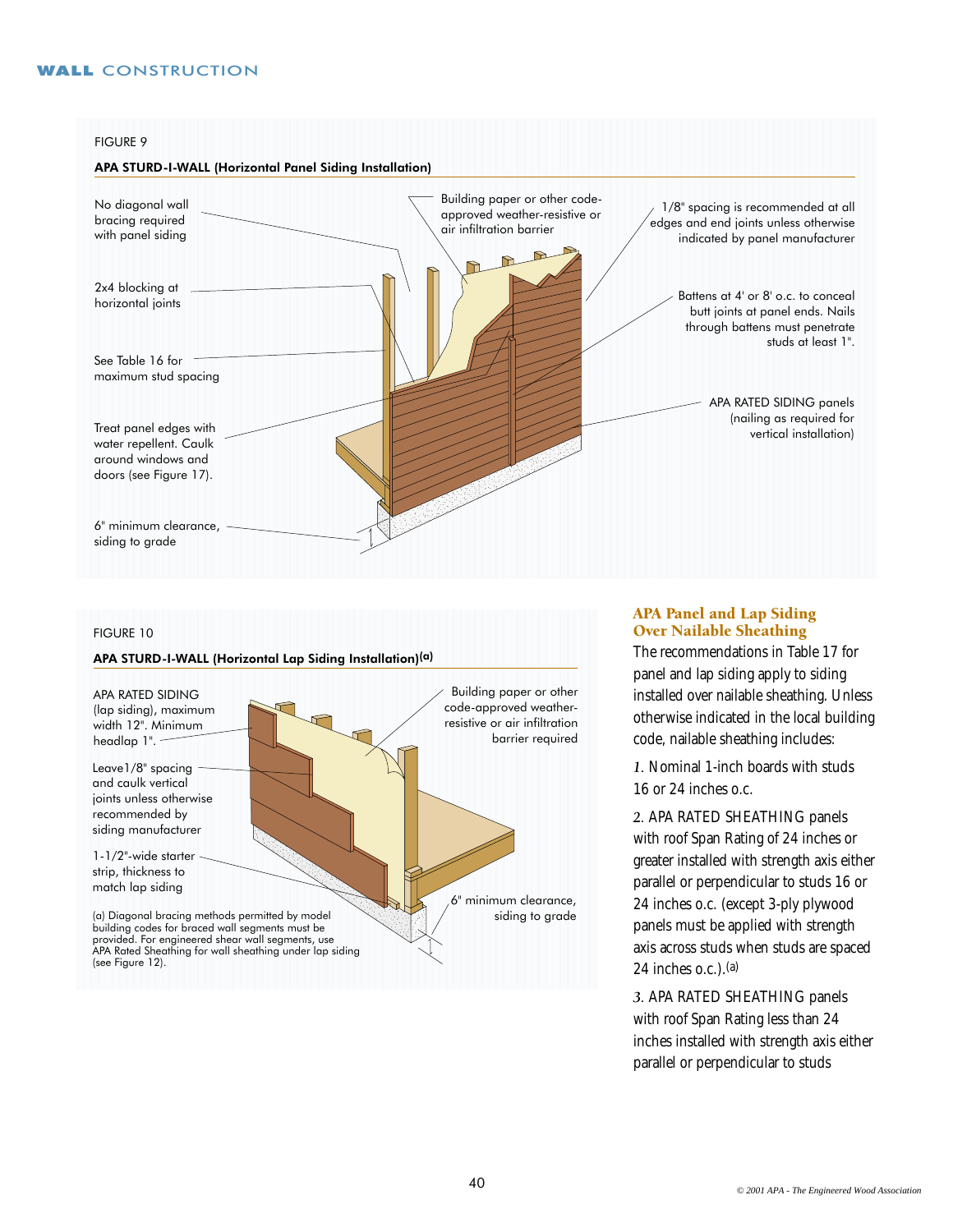#### FIGURE 9

## APA STURD-I-WALL (Horizontal Panel Siding Installation)



## FIGURE 10

#### APA STURD-I-WALL (Horizontal Lap Siding Installation)(a)



#### APA Panel and Lap Siding Over Nailable Sheathing

The recommendations in Table 17 for panel and lap siding apply to siding installed over nailable sheathing. Unless otherwise indicated in the local building code, nailable sheathing includes:

*1.* Nominal 1-inch boards with studs 16 or 24 inches o.c.

*2.* APA RATED SHEATHING panels with roof Span Rating of 24 inches or greater installed with strength axis either parallel or perpendicular to studs 16 or 24 inches o.c. (except 3-ply plywood panels must be applied with strength axis across studs when studs are spaced 24 inches  $o.c.$ ). $(a)$ 

*3.* APA RATED SHEATHING panels with roof Span Rating less than 24 inches installed with strength axis either parallel or perpendicular to studs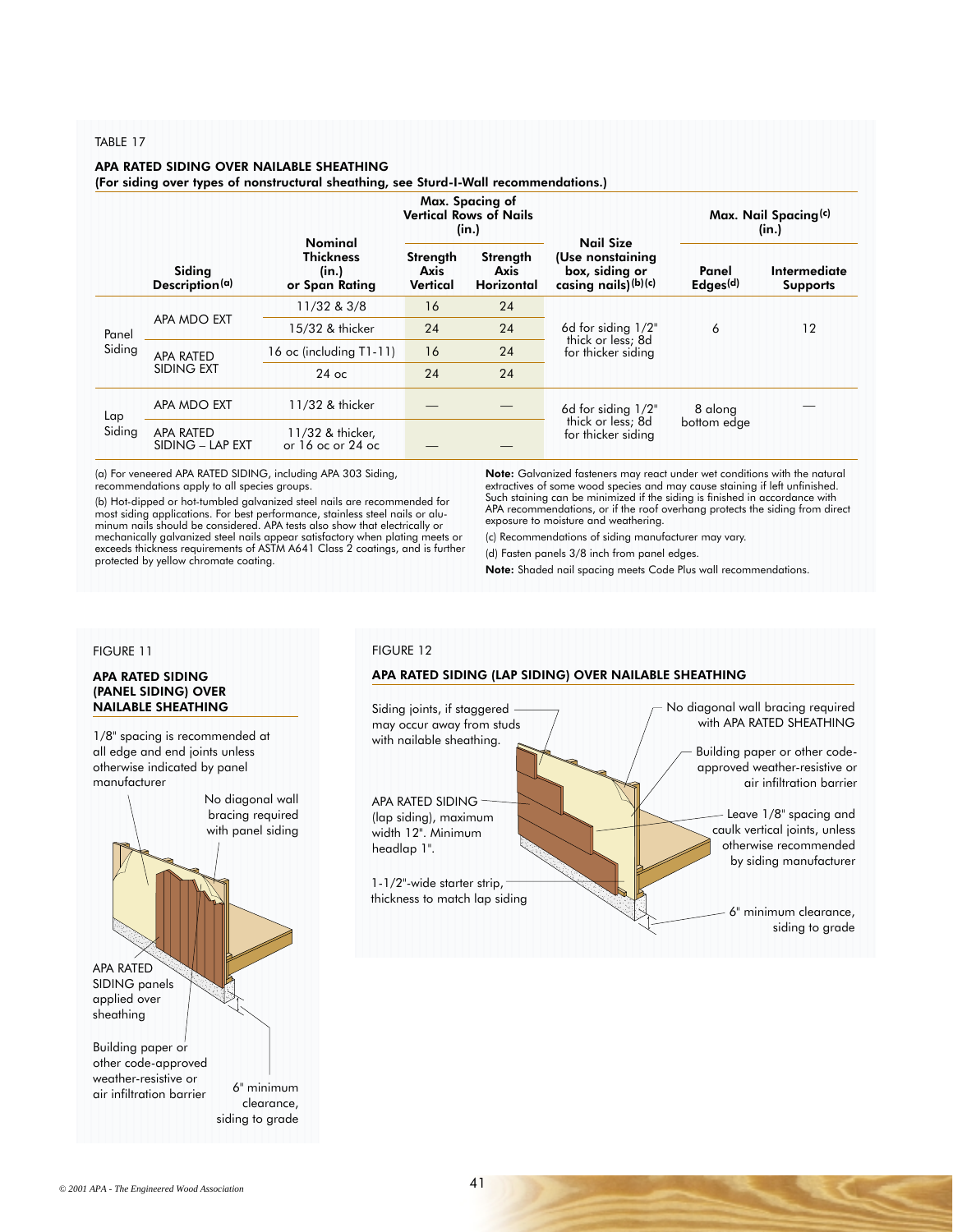#### TABLE 17

#### APA RATED SIDING OVER NAILABLE SHEATHING

(For siding over types of nonstructural sheathing, see Sturd-I-Wall recommendations.)

|               |                                      | <b>Nominal</b>                              | Max. Spacing of<br><b>Vertical Rows of Nails</b><br>(in.) |                                       | <b>Nail Size</b>                                             | Max. Nail Spacing <sup>(c)</sup><br>(in.) |                                 |  |
|---------------|--------------------------------------|---------------------------------------------|-----------------------------------------------------------|---------------------------------------|--------------------------------------------------------------|-------------------------------------------|---------------------------------|--|
|               | Siding<br>Description(a)             | <b>Thickness</b><br>(in.)<br>or Span Rating |                                                           | Strength<br>Axis<br><b>Horizontal</b> | (Use nonstaining<br>box, siding or<br>casing nails) $(b)(c)$ | Panel<br>Edges <sup>(d)</sup>             | Intermediate<br><b>Supports</b> |  |
| Panel         | APA MDO EXT                          | 11/32 & 3/8                                 | 16                                                        | 24                                    |                                                              | 6                                         |                                 |  |
|               |                                      | 15/32 & thicker                             | 24                                                        | 24                                    | 6d for siding $1/2$ "                                        |                                           | 12                              |  |
| Siding        | <b>APA RATED</b><br>SIDING EXT       | 16 oc (including T1-11)                     | 16                                                        | 24                                    | thick or less; 8d<br>for thicker siding                      |                                           |                                 |  |
|               |                                      | $24$ oc                                     | 24                                                        | 24                                    |                                                              |                                           |                                 |  |
| Lap<br>Siding | APA MDO EXT<br>11/32 & thicker       |                                             |                                                           |                                       | 6d for siding 1/2"                                           | 8 along                                   |                                 |  |
|               | <b>APA RATED</b><br>SIDING - LAP EXT | 11/32 & thicker,<br>or $16$ oc or $24$ oc   |                                                           |                                       | thick or less; 8d<br>for thicker siding                      | bottom edge                               |                                 |  |

(a) For veneered APA RATED SIDING, including APA 303 Siding, recommendations apply to all species groups.

(b) Hot-dipped or hot-tumbled galvanized steel nails are recommended for most siding applications. For best performance, stainless steel nails or alu-minum nails should be considered. APA tests also show that electrically or mechanically galvanized steel nails appear satisfactory when plating meets or exceeds thickness requirements of ASTM A641 Class 2 coatings, and is further protected by yellow chromate coating.

Note: Galvanized fasteners may react under wet conditions with the natural extractives of some wood species and may cause staining if left unfinished. Such staining can be minimized if the siding is finished in accordance with APA recommendations, or if the roof overhang protects the siding from direct exposure to moisture and weathering.

(c) Recommendations of siding manufacturer may vary.

(d) Fasten panels 3/8 inch from panel edges.

Note: Shaded nail spacing meets Code Plus wall recommendations.

# FIGURE 11

#### APA RATED SIDING (PANEL SIDING) OVER NAILABLE SHEATHING

1/8" spacing is recommended at all edge and end joints unless otherwise indicated by panel manufacturer



#### FIGURE 12

# APA RATED SIDING (LAP SIDING) OVER NAILABLE SHEATHING

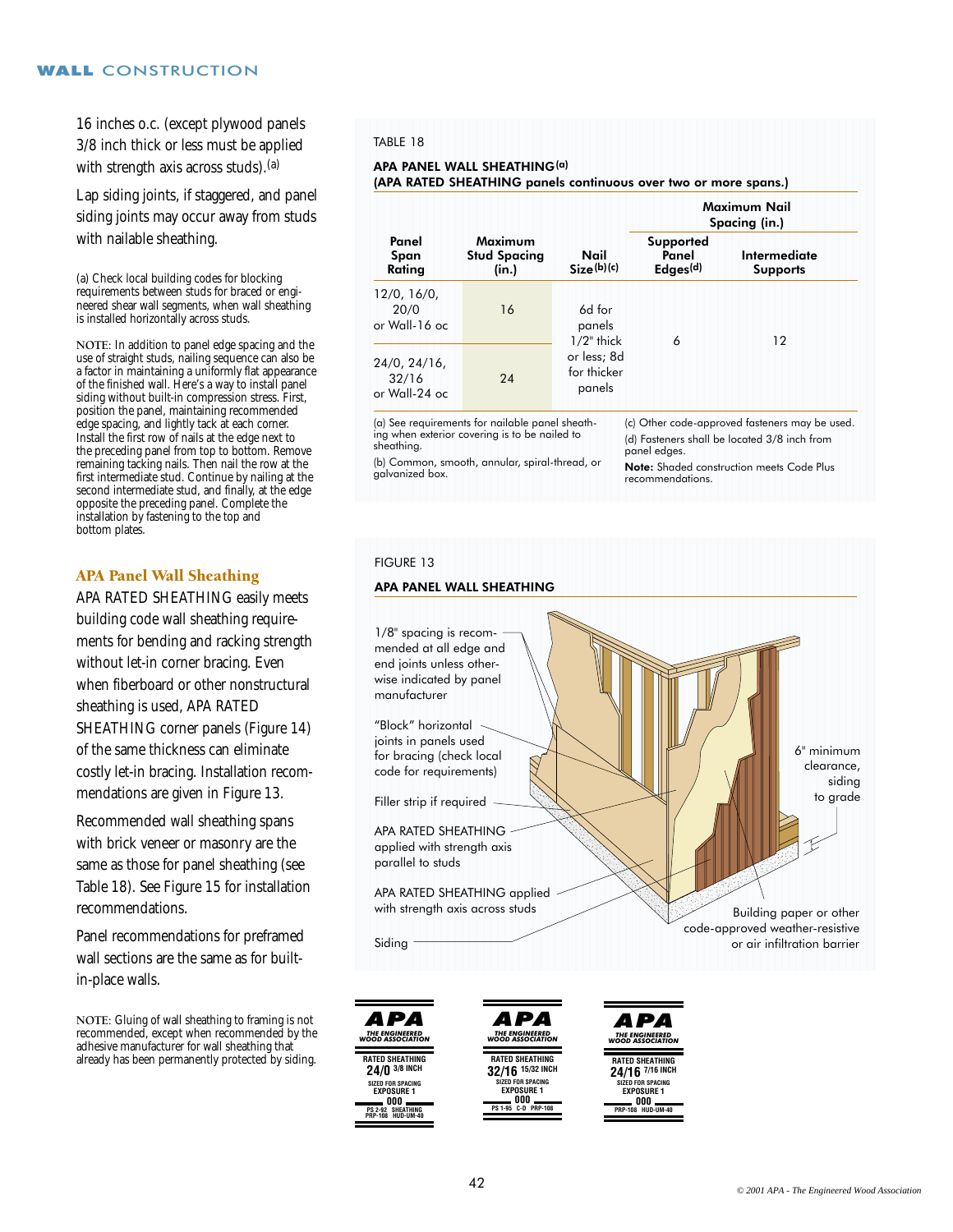16 inches o.c. (except plywood panels 3/8 inch thick or less must be applied with strength axis across studs). (a)

Lap siding joints, if staggered, and panel siding joints may occur away from studs with nailable sheathing.

(a) Check local building codes for blocking requirements between studs for braced or engineered shear wall segments, when wall sheathing is installed horizontally across studs.

**NOTE:** In addition to panel edge spacing and the use of straight studs, nailing sequence can also be a factor in maintaining a uniformly flat appearance of the finished wall. Here's a way to install panel siding without built-in compression stress. First, position the panel, maintaining recommended edge spacing, and lightly tack at each corner. Install the first row of nails at the edge next to the preceding panel from top to bottom. Remove remaining tacking nails. Then nail the row at the first intermediate stud. Continue by nailing at the second intermediate stud, and finally, at the edge opposite the preceding panel. Complete the installation by fastening to the top and bottom plates.

# APA Panel Wall Sheathing

APA RATED SHEATHING easily meets building code wall sheathing requirements for bending and racking strength without let-in corner bracing. Even when fiberboard or other nonstructural sheathing is used, APA RATED SHEATHING corner panels (Figure 14) of the same thickness can eliminate costly let-in bracing. Installation recommendations are given in Figure 13.

Recommended wall sheathing spans with brick veneer or masonry are the same as those for panel sheathing (see Table 18). See Figure 15 for installation recommendations.

Panel recommendations for preframed wall sections are the same as for builtin-place walls.

**NOTE:** Gluing of wall sheathing to framing is not recommended, except when recommended by the adhesive manufacturer for wall sheathing that already has been permanently protected by siding.

#### TABLE 18

# APA PANEL WALL SHEATHING(a)

(APA RATED SHEATHING panels continuous over two or more spans.)

|                                           |                                         |                                      | Maximum Nail<br>Spacing (in.)              |                                 |  |  |  |
|-------------------------------------------|-----------------------------------------|--------------------------------------|--------------------------------------------|---------------------------------|--|--|--|
| Panel<br>Span<br>Rating                   | Maximum<br><b>Stud Spacing</b><br>(in.) | Nail<br>Size(b)(c)                   | Supported<br>Panel<br>Edges <sup>(d)</sup> | Intermediate<br><b>Supports</b> |  |  |  |
| 12/0, 16/0,<br>20/0<br>or Wall-16 oc      | 16                                      | 6d for<br>panels<br>$1/2$ " thick    | 6                                          | 12                              |  |  |  |
| $24/0, 24/16$ ,<br>32/16<br>or Wall-24 oc | 24                                      | or less; 8d<br>for thicker<br>panels |                                            |                                 |  |  |  |

(a) See requirements for nailable panel sheathing when exterior covering is to be nailed to sheathing.

(c) Other code-approved fasteners may be used. (d) Fasteners shall be located 3/8 inch from panel edges.

(b) Common, smooth, annular, spiral-thread, or galvanized box.

Note: Shaded construction meets Code Plus recommendations.

# FIGURE 13

#### APA PANEL WALL SHEATHING



**000 PRP-108 HUD-UM-40**

**EXPOSURE 1**

**000 PS 1-95 C-D PRP-108**

**000 PS 2-92 SHEATHING PRP-108 HUD-UM-40**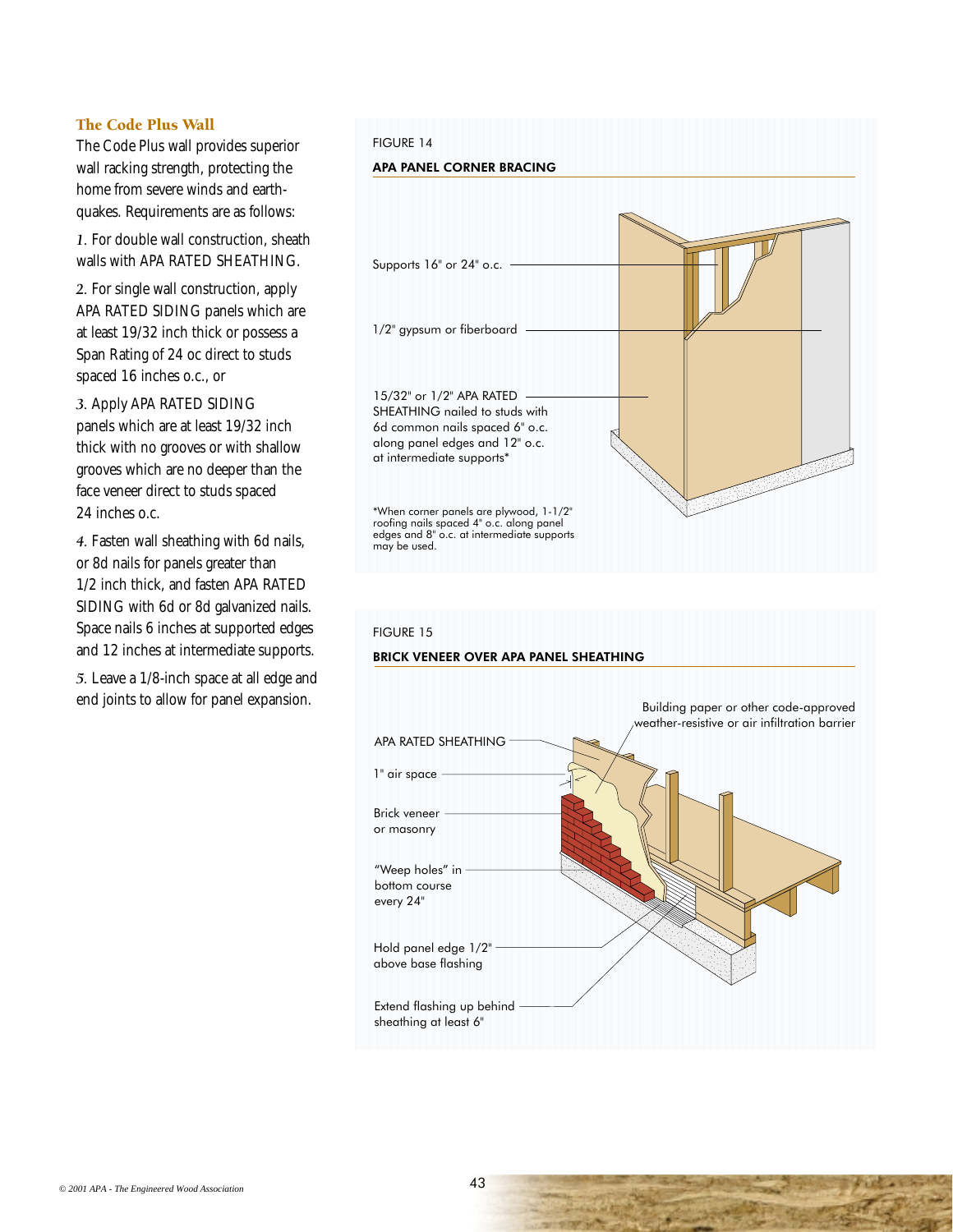# The Code Plus Wall

The Code Plus wall provides superior wall racking strength, protecting the home from severe winds and earthquakes. Requirements are as follows:

*1.* For double wall construction, sheath walls with APA RATED SHEATHING.

*2.* For single wall construction, apply APA RATED SIDING panels which are at least 19/32 inch thick or possess a Span Rating of 24 oc direct to studs spaced 16 inches o.c., or

*3.* Apply APA RATED SIDING panels which are at least 19/32 inch thick with no grooves or with shallow grooves which are no deeper than the face veneer direct to studs spaced 24 inches o.c.

*4.* Fasten wall sheathing with 6d nails, or 8d nails for panels greater than 1/2 inch thick, and fasten APA RATED SIDING with 6d or 8d galvanized nails. Space nails 6 inches at supported edges and 12 inches at intermediate supports.

*5.* Leave a 1/8-inch space at all edge and end joints to allow for panel expansion.

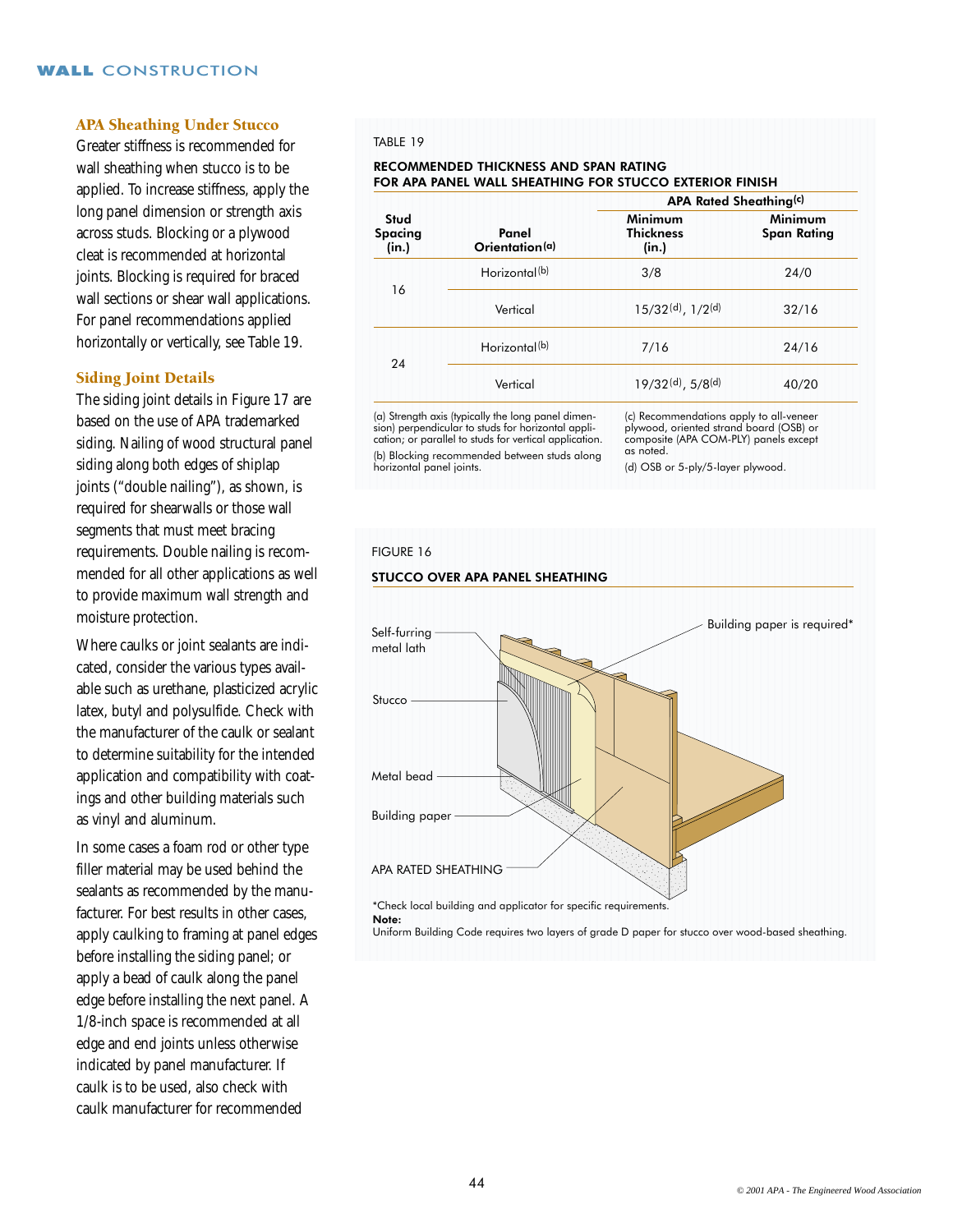# APA Sheathing Under Stucco

Greater stiffness is recommended for wall sheathing when stucco is to be applied. To increase stiffness, apply the long panel dimension or strength axis across studs. Blocking or a plywood cleat is recommended at horizontal joints. Blocking is required for braced wall sections or shear wall applications. For panel recommendations applied horizontally or vertically, see Table 19.

# Siding Joint Details

The siding joint details in Figure 17 are based on the use of APA trademarked siding. Nailing of wood structural panel siding along both edges of shiplap joints ("double nailing"), as shown, is required for shearwalls or those wall segments that must meet bracing requirements. Double nailing is recommended for all other applications as well to provide maximum wall strength and moisture protection.

Where caulks or joint sealants are indicated, consider the various types available such as urethane, plasticized acrylic latex, butyl and polysulfide. Check with the manufacturer of the caulk or sealant to determine suitability for the intended application and compatibility with coatings and other building materials such as vinyl and aluminum.

In some cases a foam rod or other type filler material may be used behind the sealants as recommended by the manufacturer. For best results in other cases, apply caulking to framing at panel edges before installing the siding panel; or apply a bead of caulk along the panel edge before installing the next panel. A 1/8-inch space is recommended at all edge and end joints unless otherwise indicated by panel manufacturer. If caulk is to be used, also check with caulk manufacturer for recommended

#### TABLE 19

#### RECOMMENDED THICKNESS AND SPAN RATING FOR APA PANEL WALL SHEATHING FOR STUCCO EXTERIOR FINISH

|                                 |                           | <b>APA Rated Sheathing(c)</b>                 |                               |  |  |  |  |  |
|---------------------------------|---------------------------|-----------------------------------------------|-------------------------------|--|--|--|--|--|
| Stud<br><b>Spacing</b><br>(in.) | Panel<br>Orientation(a)   | Minimum<br><b>Thickness</b><br>(in.)          | Minimum<br><b>Span Rating</b> |  |  |  |  |  |
| 16                              | Horizontal <sup>(b)</sup> | 3/8                                           | 24/0                          |  |  |  |  |  |
|                                 | Vertical                  | $15/32(d), 1/2(d)$                            | 32/16                         |  |  |  |  |  |
| 24                              | Horizontal <sup>(b)</sup> | 7/16                                          | 24/16                         |  |  |  |  |  |
|                                 | Vertical                  | $19/32$ <sup>(d)</sup> , $5/8$ <sup>(d)</sup> | 40/20                         |  |  |  |  |  |

(a) Strength axis (typically the long panel dimension) perpendicular to studs for horizontal application; or parallel to studs for vertical application. (b) Blocking recommended between studs along horizontal panel joints.

STUCCO OVER APA PANEL SHEATHING

(c) Recommendations apply to all-veneer plywood, oriented strand board (OSB) or composite (APA COM-PLY) panels except as noted.

(d) OSB or 5-ply/5-layer plywood.

#### FIGURE 16



Uniform Building Code requires two layers of grade D paper for stucco over wood-based sheathing.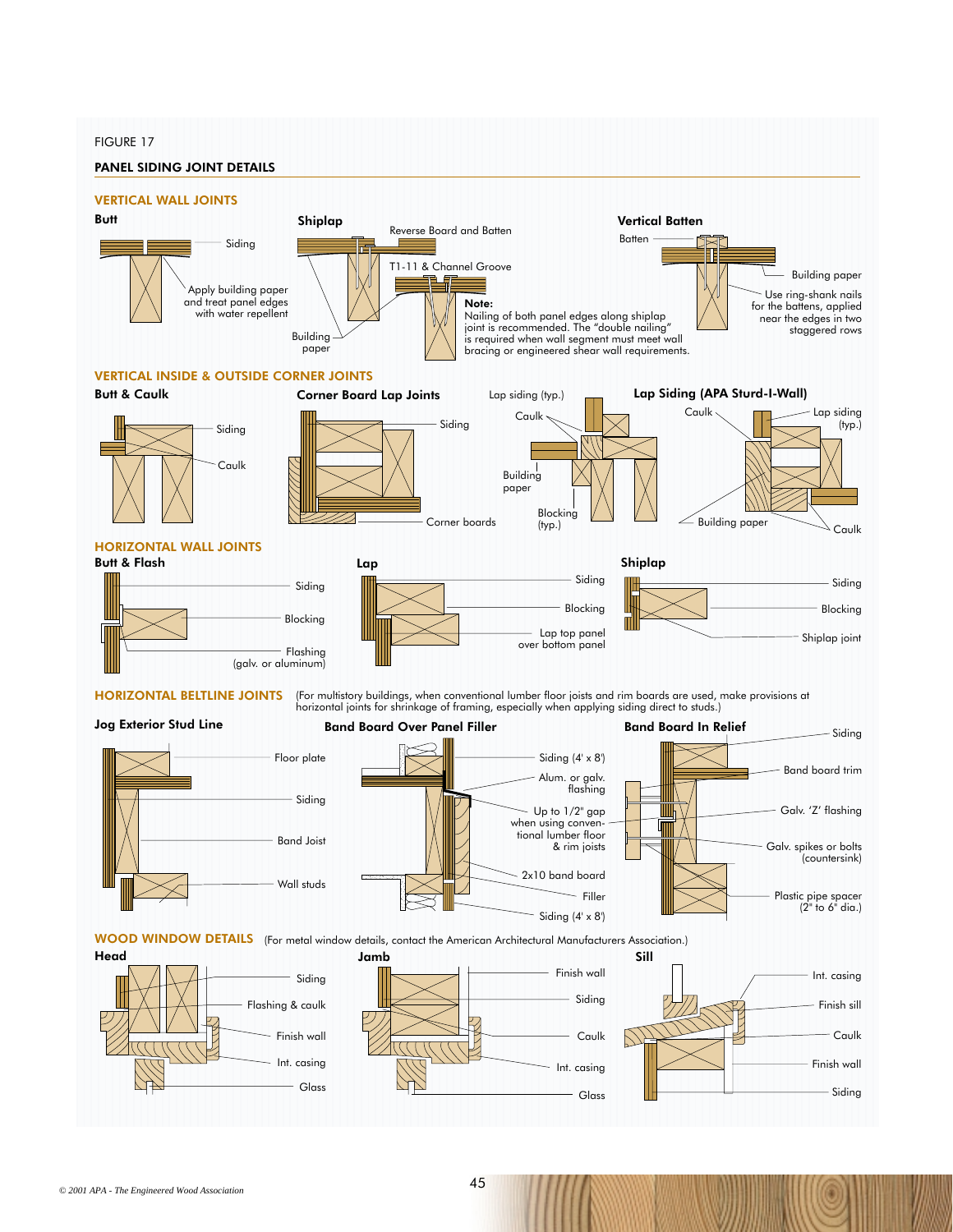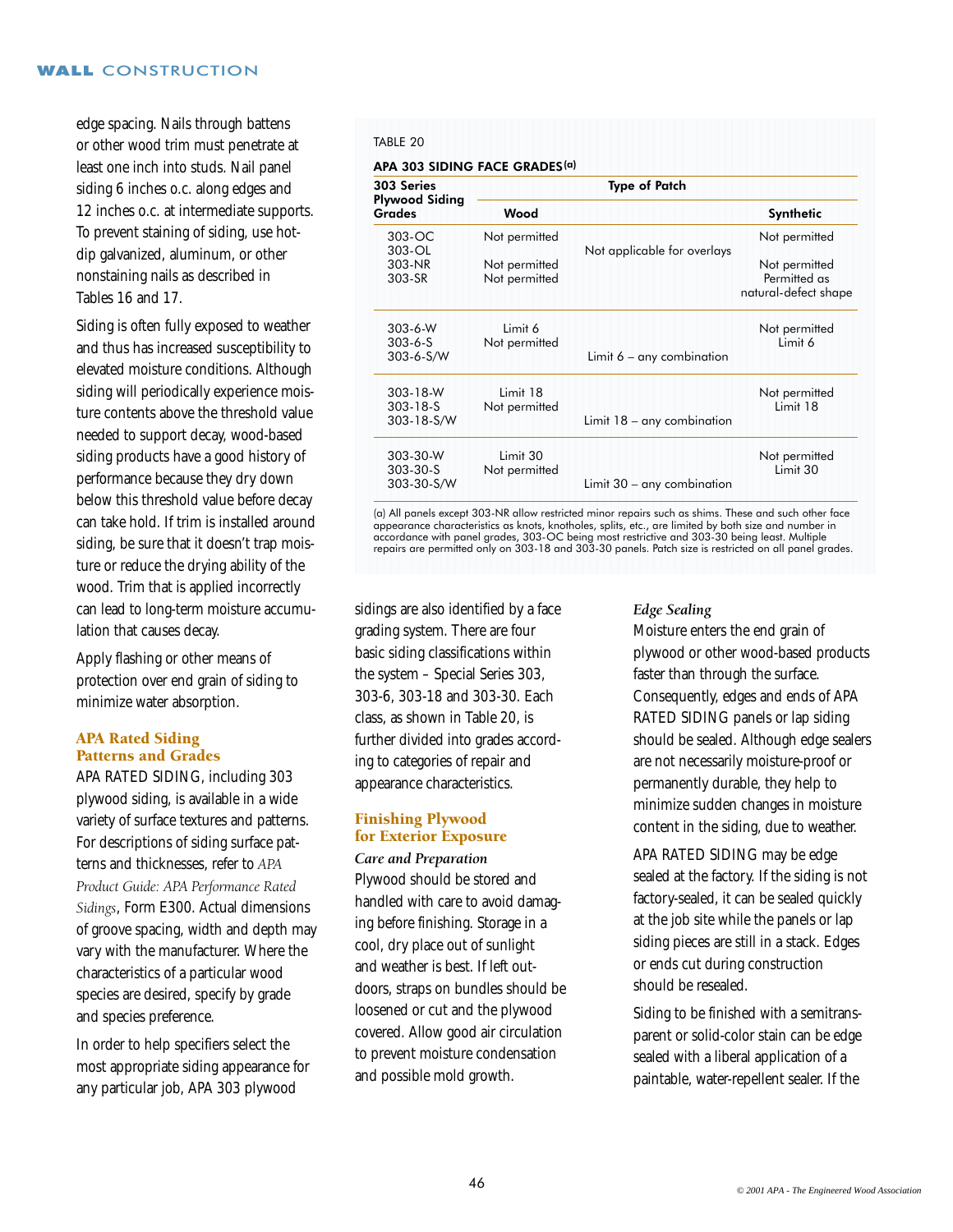edge spacing. Nails through battens or other wood trim must penetrate at least one inch into studs. Nail panel siding 6 inches o.c. along edges and 12 inches o.c. at intermediate supports. To prevent staining of siding, use hotdip galvanized, aluminum, or other nonstaining nails as described in Tables 16 and 17.

Siding is often fully exposed to weather and thus has increased susceptibility to elevated moisture conditions. Although siding will periodically experience moisture contents above the threshold value needed to support decay, wood-based siding products have a good history of performance because they dry down below this threshold value before decay can take hold. If trim is installed around siding, be sure that it doesn't trap moisture or reduce the drying ability of the wood. Trim that is applied incorrectly can lead to long-term moisture accumulation that causes decay.

Apply flashing or other means of protection over end grain of siding to minimize water absorption.

# APA Rated Siding Patterns and Grades

APA RATED SIDING, including 303 plywood siding, is available in a wide variety of surface textures and patterns. For descriptions of siding surface patterns and thicknesses, refer to *APA Product Guide: APA Performance Rated Sidings*, Form E300. Actual dimensions of groove spacing, width and depth may vary with the manufacturer. Where the characteristics of a particular wood species are desired, specify by grade and species preference.

In order to help specifiers select the most appropriate siding appearance for any particular job, APA 303 plywood

## TABLE 20

| APA 303 SIDING FACE GRADES(a)               |                                |                              |                                                       |  |  |  |  |  |
|---------------------------------------------|--------------------------------|------------------------------|-------------------------------------------------------|--|--|--|--|--|
| 303 Series                                  |                                | <b>Type of Patch</b>         |                                                       |  |  |  |  |  |
| <b>Plywood Siding</b><br>Grades             | Wood                           |                              | Synthetic                                             |  |  |  |  |  |
| $303-OC$<br>303-OL                          | Not permitted                  | Not applicable for overlays  | Not permitted                                         |  |  |  |  |  |
| 303-NR<br>303-SR                            | Not permitted<br>Not permitted |                              | Not permitted<br>Permitted as<br>natural-defect shape |  |  |  |  |  |
| $303 - 6 - W$<br>$303 - 6 - S$<br>303-6-S/W | Limit 6<br>Not permitted       | Limit $6 -$ any combination  | Not permitted<br>Limit 6                              |  |  |  |  |  |
| 303-18-W<br>$303 - 18 - S$<br>303-18-S/W    | Limit 18<br>Not permitted      | Limit $18 -$ any combination | Not permitted<br>Limit 18                             |  |  |  |  |  |
| 303-30-W<br>303-30-S<br>303-30-S/W          | Limit 30<br>Not permitted      | Limit 30 – any combination   | Not permitted<br>Limit 30                             |  |  |  |  |  |

(a) All panels except 303-NR allow restricted minor repairs such as shims. These and such other face appearance characteristics as knots, knotholes, splits, etc., are limited by both size and number in<br>accordance with panel grades, 303-OC being most restrictive and 303-30 being least. Multiple<br>repairs are permitted only o

sidings are also identified by a face grading system. There are four basic siding classifications within the system – Special Series 303, 303-6, 303-18 and 303-30. Each class, as shown in Table 20, is further divided into grades according to categories of repair and appearance characteristics.

# Finishing Plywood for Exterior Exposure

#### *Care and Preparation*

Plywood should be stored and handled with care to avoid damaging before finishing. Storage in a cool, dry place out of sunlight and weather is best. If left outdoors, straps on bundles should be loosened or cut and the plywood covered. Allow good air circulation to prevent moisture condensation and possible mold growth.

#### *Edge Sealing*

Moisture enters the end grain of plywood or other wood-based products faster than through the surface. Consequently, edges and ends of APA RATED SIDING panels or lap siding should be sealed. Although edge sealers are not necessarily moisture-proof or permanently durable, they help to minimize sudden changes in moisture content in the siding, due to weather.

APA RATED SIDING may be edge sealed at the factory. If the siding is not factory-sealed, it can be sealed quickly at the job site while the panels or lap siding pieces are still in a stack. Edges or ends cut during construction should be resealed.

Siding to be finished with a semitransparent or solid-color stain can be edge sealed with a liberal application of a paintable, water-repellent sealer. If the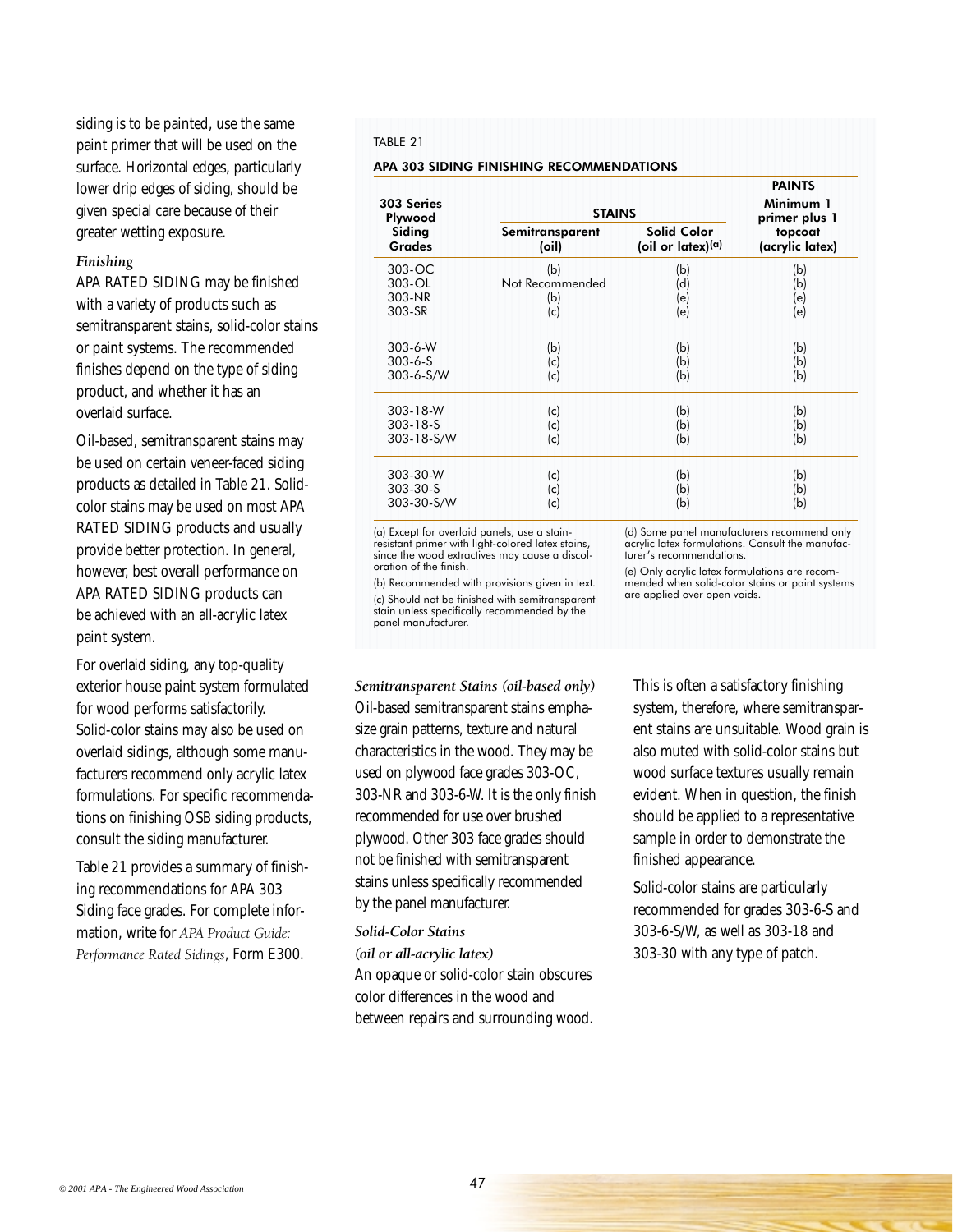siding is to be painted, use the same paint primer that will be used on the surface. Horizontal edges, particularly lower drip edges of siding, should be given special care because of their greater wetting exposure.

## *Finishing*

APA RATED SIDING may be finished with a variety of products such as semitransparent stains, solid-color stains or paint systems. The recommended finishes depend on the type of siding product, and whether it has an overlaid surface.

Oil-based, semitransparent stains may be used on certain veneer-faced siding products as detailed in Table 21. Solidcolor stains may be used on most APA RATED SIDING products and usually provide better protection. In general, however, best overall performance on APA RATED SIDING products can be achieved with an all-acrylic latex paint system.

For overlaid siding, any top-quality exterior house paint system formulated for wood performs satisfactorily. Solid-color stains may also be used on overlaid sidings, although some manufacturers recommend only acrylic latex formulations. For specific recommendations on finishing OSB siding products, consult the siding manufacturer.

Table 21 provides a summary of finishing recommendations for APA 303 Siding face grades. For complete information, write for *APA Product Guide: Performance Rated Sidings*, Form E300.

#### TABLE 21

#### APA 303 SIDING FINISHING RECOMMENDATIONS

| 303 Series<br>Plywood<br>Siding<br><b>Grades</b><br>303-OC<br>303-OL<br>303-NR<br>303-SR<br>$303 - 6 - W$<br>$303 - 6 - S$<br>303-6-S/W<br>303-18-W<br>$303 - 18 - S$<br>303-18-S/W<br>303-30-W<br>303-30-S |                                      | <b>STAINS</b>                              |                                             |  |  |
|-------------------------------------------------------------------------------------------------------------------------------------------------------------------------------------------------------------|--------------------------------------|--------------------------------------------|---------------------------------------------|--|--|
|                                                                                                                                                                                                             | Semitransparent<br>(oil)             | <b>Solid Color</b><br>(oil or latex) $(a)$ | primer plus 1<br>topcoat<br>(acrylic latex) |  |  |
|                                                                                                                                                                                                             | (b)<br>Not Recommended<br>(b)<br>(c) | (b)<br>(d)<br>(e)<br>(e)                   | (b)<br>(b)<br>(e)<br>(e)                    |  |  |
|                                                                                                                                                                                                             | (b)<br>(c)<br>(c)                    | (b)<br>(b)<br>(b)                          | (b)<br>(b)<br>(b)                           |  |  |
|                                                                                                                                                                                                             | (c)<br>(c)<br>(c)                    | (b)<br>(b)<br>(b)                          | (b)<br>(b)<br>(b)                           |  |  |
| 303-30-S/W                                                                                                                                                                                                  | (c)<br>(c)<br>(c)                    | (b)<br>(b)<br>(b)                          | (b)<br>(b)<br>(b)                           |  |  |

(a) Except for overlaid panels, use a stain-resistant primer with light-colored latex stains, since the wood extractives may cause a discoloration of the finish.

(b) Recommended with provisions given in text. (c) Should not be finished with semitransparent stain unless specifically recommended by the panel manufacturer.

#### *Semitransparent Stains (oil-based only)*

Oil-based semitransparent stains emphasize grain patterns, texture and natural characteristics in the wood. They may be used on plywood face grades 303-OC, 303-NR and 303-6-W. It is the only finish recommended for use over brushed plywood. Other 303 face grades should not be finished with semitransparent stains unless specifically recommended by the panel manufacturer.

#### *Solid-Color Stains*

*(oil or all-acrylic latex)* 

An opaque or solid-color stain obscures color differences in the wood and between repairs and surrounding wood.

(d) Some panel manufacturers recommend only acrylic latex formulations. Consult the manufacturer's recommendations.

(e) Only acrylic latex formulations are recommended when solid-color stains or paint systems are applied over open voids.

This is often a satisfactory finishing system, therefore, where semitransparent stains are unsuitable. Wood grain is also muted with solid-color stains but wood surface textures usually remain evident. When in question, the finish should be applied to a representative sample in order to demonstrate the finished appearance.

Solid-color stains are particularly recommended for grades 303-6-S and 303-6-S/W, as well as 303-18 and 303-30 with any type of patch.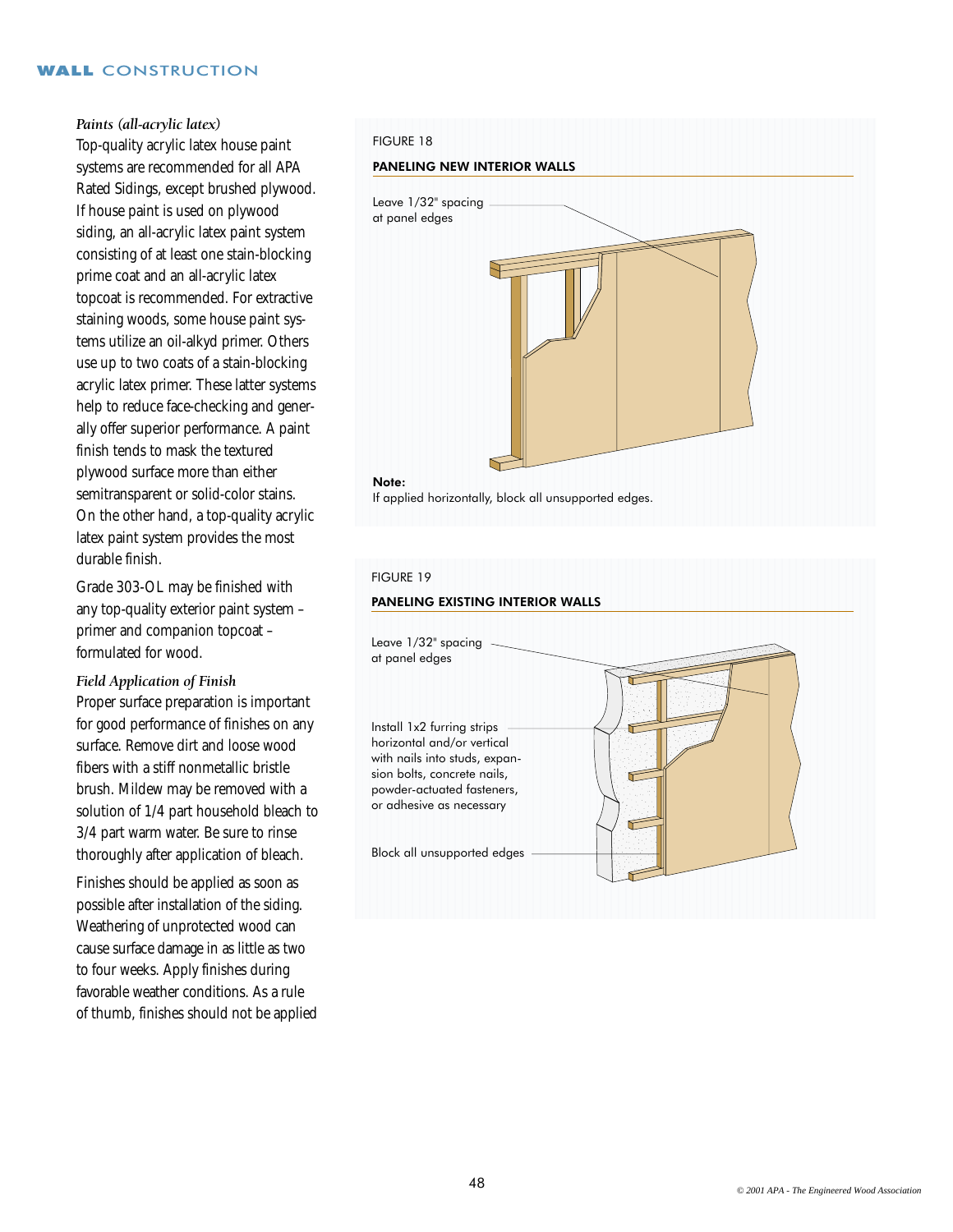# *Paints (all-acrylic latex)*

Top-quality acrylic latex house paint systems are recommended for all APA Rated Sidings, except brushed plywood. If house paint is used on plywood siding, an all-acrylic latex paint system consisting of at least one stain-blocking prime coat and an all-acrylic latex topcoat is recommended. For extractive staining woods, some house paint systems utilize an oil-alkyd primer. Others use up to two coats of a stain-blocking acrylic latex primer. These latter systems help to reduce face-checking and generally offer superior performance. A paint finish tends to mask the textured plywood surface more than either semitransparent or solid-color stains. On the other hand, a top-quality acrylic latex paint system provides the most durable finish.

Grade 303-OL may be finished with any top-quality exterior paint system – primer and companion topcoat – formulated for wood.

# *Field Application of Finish*

Proper surface preparation is important for good performance of finishes on any surface. Remove dirt and loose wood fibers with a stiff nonmetallic bristle brush. Mildew may be removed with a solution of 1/4 part household bleach to 3/4 part warm water. Be sure to rinse thoroughly after application of bleach.

Finishes should be applied as soon as possible after installation of the siding. Weathering of unprotected wood can cause surface damage in as little as two to four weeks. Apply finishes during favorable weather conditions. As a rule of thumb, finishes should not be applied

#### FIGURE 18

#### PANELING NEW INTERIOR WALLS



# FIGURE 19

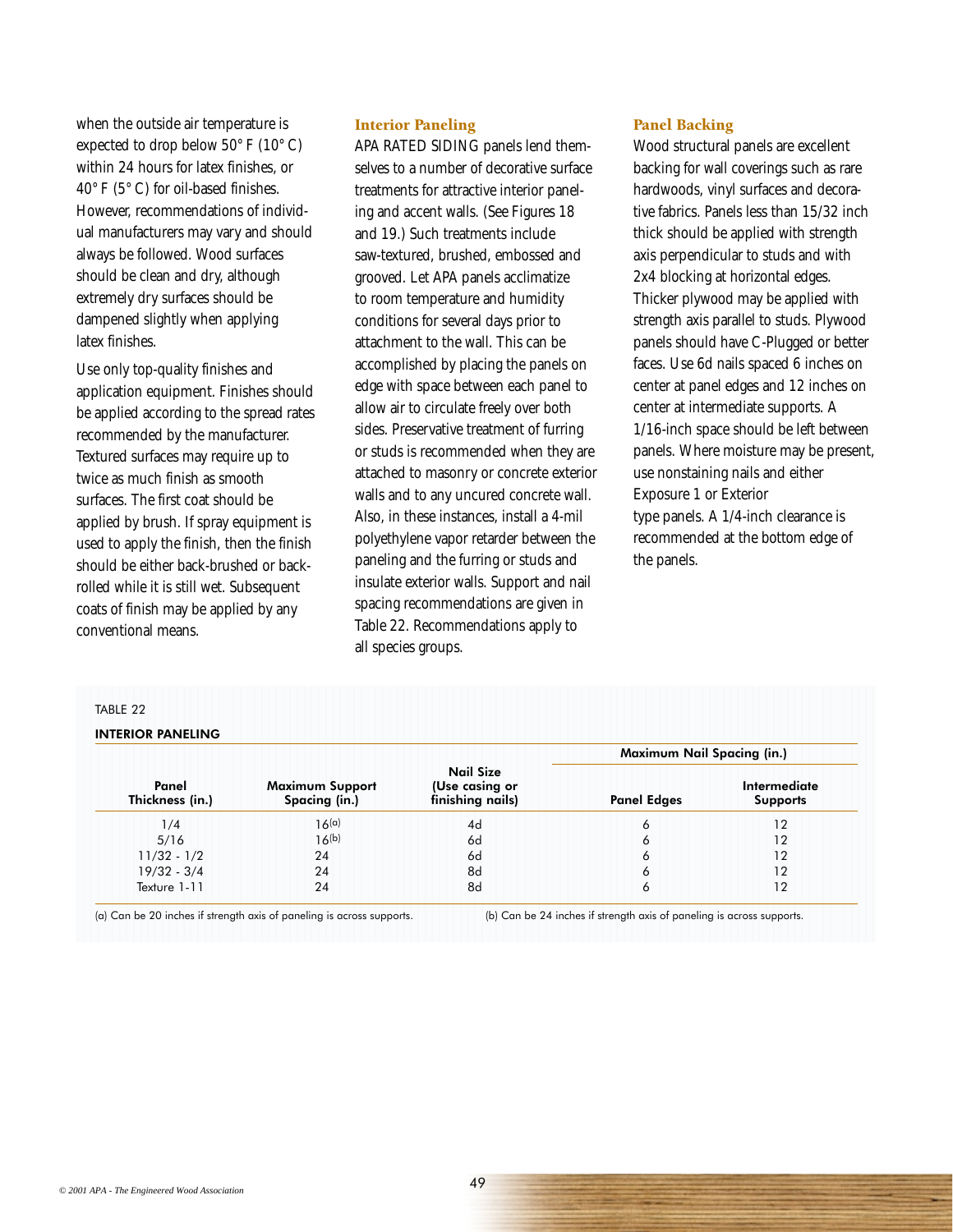when the outside air temperature is expected to drop below  $50^{\circ}$  F ( $10^{\circ}$  C) within 24 hours for latex finishes, or 40° F (5° C) for oil-based finishes. However, recommendations of individual manufacturers may vary and should always be followed. Wood surfaces should be clean and dry, although extremely dry surfaces should be dampened slightly when applying latex finishes.

Use only top-quality finishes and application equipment. Finishes should be applied according to the spread rates recommended by the manufacturer. Textured surfaces may require up to twice as much finish as smooth surfaces. The first coat should be applied by brush. If spray equipment is used to apply the finish, then the finish should be either back-brushed or backrolled while it is still wet. Subsequent coats of finish may be applied by any conventional means.

# Interior Paneling

APA RATED SIDING panels lend themselves to a number of decorative surface treatments for attractive interior paneling and accent walls. (See Figures 18 and 19.) Such treatments include saw-textured, brushed, embossed and grooved. Let APA panels acclimatize to room temperature and humidity conditions for several days prior to attachment to the wall. This can be accomplished by placing the panels on edge with space between each panel to allow air to circulate freely over both sides. Preservative treatment of furring or studs is recommended when they are attached to masonry or concrete exterior walls and to any uncured concrete wall. Also, in these instances, install a 4-mil polyethylene vapor retarder between the paneling and the furring or studs and insulate exterior walls. Support and nail spacing recommendations are given in Table 22. Recommendations apply to all species groups.

# Panel Backing

Wood structural panels are excellent backing for wall coverings such as rare hardwoods, vinyl surfaces and decorative fabrics. Panels less than 15/32 inch thick should be applied with strength axis perpendicular to studs and with 2x4 blocking at horizontal edges. Thicker plywood may be applied with strength axis parallel to studs. Plywood panels should have C-Plugged or better faces. Use 6d nails spaced 6 inches on center at panel edges and 12 inches on center at intermediate supports. A 1/16-inch space should be left between panels. Where moisture may be present, use nonstaining nails and either Exposure 1 or Exterior type panels. A 1/4-inch clearance is recommended at the bottom edge of the panels.

#### TABLE 22

#### INTERIOR PANELING

|                          |                                         |                                                        | <b>Maximum Nail Spacing (in.)</b> |                                 |  |  |  |
|--------------------------|-----------------------------------------|--------------------------------------------------------|-----------------------------------|---------------------------------|--|--|--|
| Panel<br>Thickness (in.) | <b>Maximum Support</b><br>Spacing (in.) | <b>Nail Size</b><br>(Use casing or<br>finishing nails) | <b>Panel Edges</b>                | Intermediate<br><b>Supports</b> |  |  |  |
| 1/4                      | 16 <sup>(a)</sup>                       | 4d                                                     | 6                                 | 12                              |  |  |  |
| 5/16                     | 16(b)                                   | 6d                                                     | 6                                 | 12                              |  |  |  |
| $11/32 - 1/2$            | 24                                      | 6d                                                     | 6                                 | 12                              |  |  |  |
| $19/32 - 3/4$            | 24                                      | 8d                                                     | 6                                 | 12                              |  |  |  |
| Texture 1-11             | 24                                      | 8d                                                     | 6                                 | 12                              |  |  |  |

(a) Can be 20 inches if strength axis of paneling is across supports. (b) Can be 24 inches if strength axis of paneling is across supports.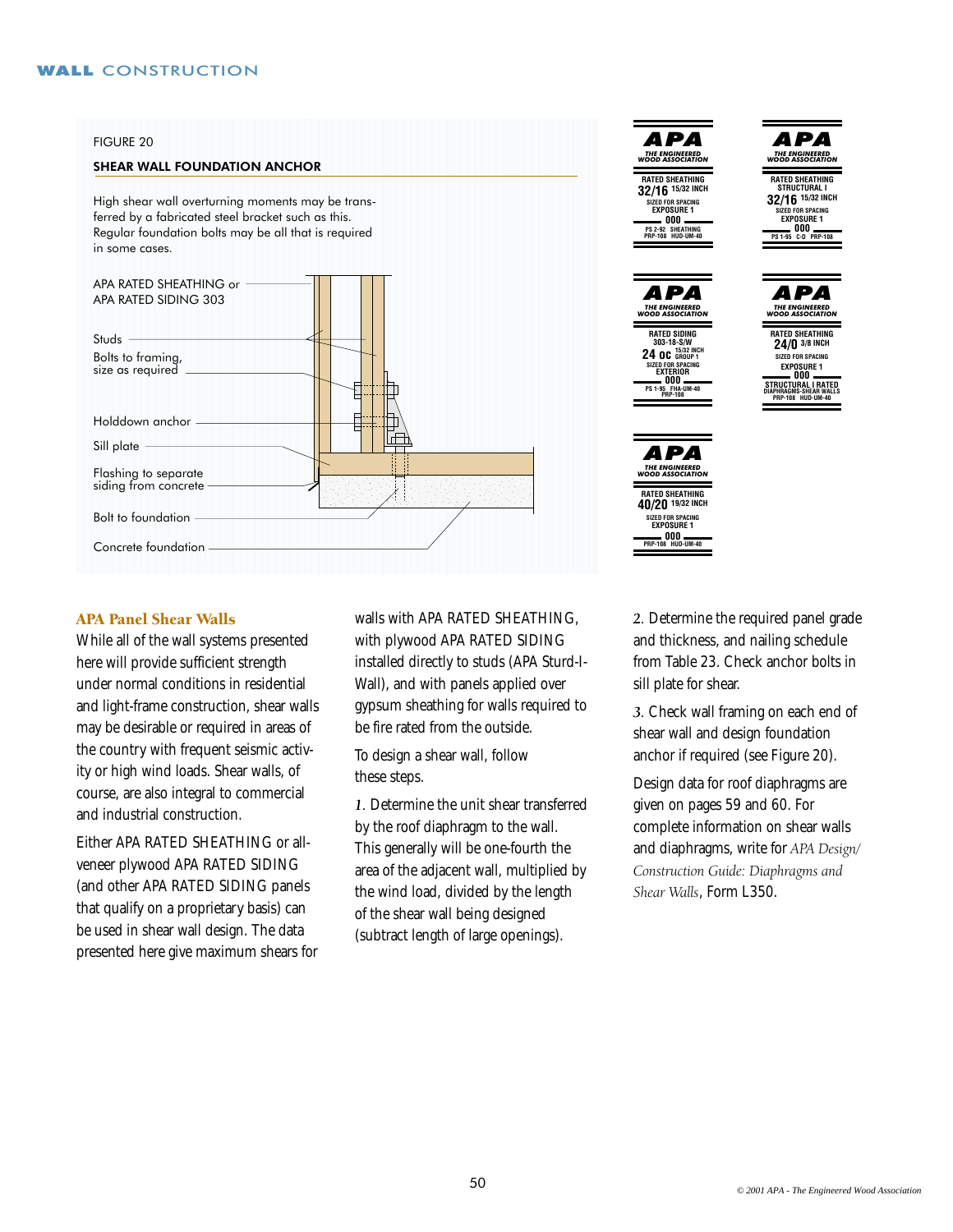#### FIGURE 20

#### SHEAR WALL FOUNDATION ANCHOR

High shear wall overturning moments may be transferred by a fabricated steel bracket such as this. Regular foundation bolts may be all that is required in some cases.



# APA Panel Shear Walls

While all of the wall systems presented here will provide sufficient strength under normal conditions in residential and light-frame construction, shear walls may be desirable or required in areas of the country with frequent seismic activity or high wind loads. Shear walls, of course, are also integral to commercial and industrial construction.

Either APA RATED SHEATHING or allveneer plywood APA RATED SIDING (and other APA RATED SIDING panels that qualify on a proprietary basis) can be used in shear wall design. The data presented here give maximum shears for walls with APA RATED SHEATHING, with plywood APA RATED SIDING installed directly to studs (APA Sturd-I-Wall), and with panels applied over gypsum sheathing for walls required to be fire rated from the outside.

To design a shear wall, follow these steps.

*1.* Determine the unit shear transferred by the roof diaphragm to the wall. This generally will be one-fourth the area of the adjacent wall, multiplied by the wind load, divided by the length of the shear wall being designed (subtract length of large openings).



*2.* Determine the required panel grade and thickness, and nailing schedule from Table 23. Check anchor bolts in sill plate for shear.

*3.* Check wall framing on each end of shear wall and design foundation anchor if required (see Figure 20).

Design data for roof diaphragms are given on pages 59 and 60. For complete information on shear walls and diaphragms, write for *APA Design/ Construction Guide: Diaphragms and Shear Walls*, Form L350.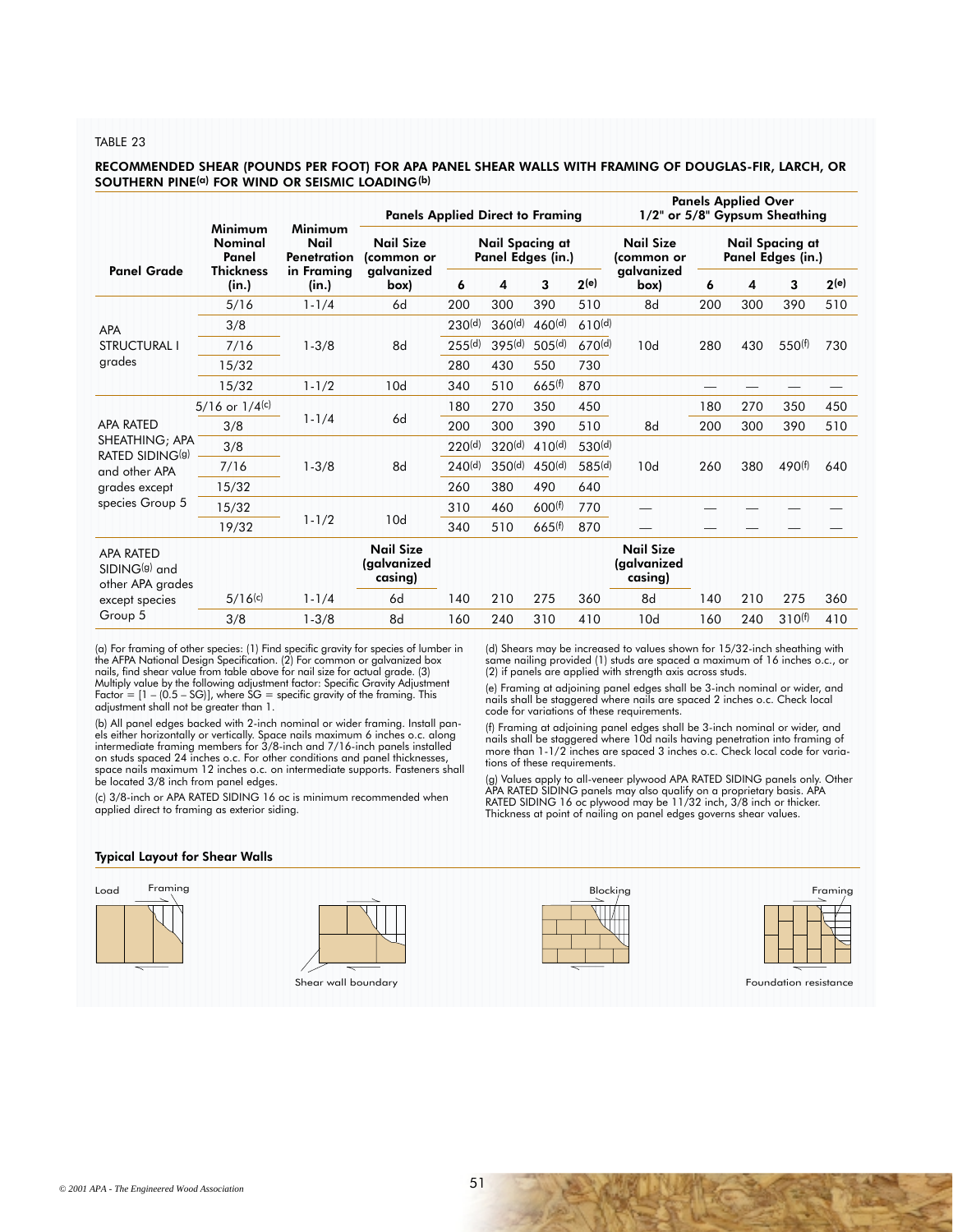#### TABLE 23

#### RECOMMENDED SHEAR (POUNDS PER FOOT) FOR APA PANEL SHEAR WALLS WITH FRAMING OF DOUGLAS-FIR, LARCH, OR SOUTHERN PINE<sup>(a)</sup> FOR WIND OR SEISMIC LOADING<sup>(b)</sup>

|                                                      |                                            | <b>Panels Applied Direct to Framing</b>    |                                             |                    |                    |                                | 1/2" or 5/8" Gypsum Sheathing               |                                                                                        |     |                    |                            |
|------------------------------------------------------|--------------------------------------------|--------------------------------------------|---------------------------------------------|--------------------|--------------------|--------------------------------|---------------------------------------------|----------------------------------------------------------------------------------------|-----|--------------------|----------------------------|
| <b>Nominal</b><br>Panel<br><b>Thickness</b><br>(in.) | Nail<br>Penetration<br>in Framing<br>(in.) | <b>Nail Size</b><br>(common or             | <b>Nail Spacing at</b><br>Panel Edges (in.) |                    |                    | <b>Nail Size</b><br>(common or | <b>Nail Spacing at</b><br>Panel Edges (in.) |                                                                                        |     |                    |                            |
|                                                      |                                            | (box                                       | 6                                           | 4                  | 3                  | 2(e)                           | (box                                        | 6                                                                                      | 4   | 3                  | 2(e)                       |
| 5/16                                                 | $1 - 1/4$                                  | 6d                                         | 200                                         | 300                | 390                | 510                            | 8d                                          | 200                                                                                    | 300 | 390                | 510                        |
| 3/8                                                  |                                            |                                            | 230 <sup>(d)</sup>                          | 360 <sup>(d)</sup> | 460 <sup>(d)</sup> |                                | 10d                                         |                                                                                        |     |                    |                            |
| 7/16                                                 | $1 - 3/8$                                  | 8d                                         | 255(d)                                      | 395(d)             | 505 <sup>(d)</sup> |                                |                                             | 280                                                                                    | 430 | 550 <sup>(f)</sup> | 730                        |
| 15/32                                                |                                            |                                            | 280                                         | 430                | 550                | 730                            |                                             |                                                                                        |     |                    |                            |
| 15/32                                                | $1 - 1/2$                                  | 10d                                        | 340                                         | 510                | 665(f)             | 870                            |                                             |                                                                                        |     |                    |                            |
| $5/16$ or $1/4(c)$                                   | $1 - 1/4$                                  | 6d                                         | 180                                         | 270                | 350                | 450                            |                                             | 180                                                                                    | 270 | 350                | 450                        |
| 3/8                                                  |                                            |                                            | 200                                         | 300                | 390                | 510                            | 8d                                          | 200                                                                                    | 300 | 390                | 510                        |
| 3/8                                                  |                                            | 8d                                         | 220 <sup>(d)</sup>                          | 320 <sup>(d)</sup> | 410 <sup>(d)</sup> |                                | 10d                                         |                                                                                        |     |                    |                            |
| 7/16                                                 | $1 - 3/8$                                  |                                            | 240 <sup>(d)</sup>                          | 350 <sup>(d)</sup> | 450 <sup>(d)</sup> |                                |                                             | 260                                                                                    | 380 | 490 <sup>(f)</sup> | 640                        |
| 15/32                                                |                                            |                                            | 260                                         | 380                | 490                | 640                            |                                             |                                                                                        |     |                    |                            |
| 15/32                                                |                                            |                                            | 310                                         | 460                | 600(f)             | 770                            |                                             |                                                                                        |     |                    |                            |
| 19/32                                                |                                            |                                            | 340                                         | 510                | 665(f)             | 870                            |                                             |                                                                                        |     |                    |                            |
|                                                      |                                            | <b>Nail Size</b><br>(galvanized<br>casing) |                                             |                    |                    |                                | <b>Nail Size</b><br>(galvanized<br>casing)  |                                                                                        |     |                    |                            |
| 5/16(c)                                              | $1 - 1/4$                                  | 6d                                         | 140                                         | 210                | 275                | 360                            | 8d                                          | 140                                                                                    | 210 | 275                | 360                        |
| 3/8                                                  | $1 - 3/8$                                  | 8d                                         | 160                                         | 240                | 310                | 410                            | 10d                                         | 160                                                                                    | 240 | $310^{(f)}$        | 410                        |
|                                                      | Minimum                                    | Minimum<br>$1 - 1/2$                       | galvanized<br>10d                           |                    |                    |                                |                                             | galvanized<br>610 <sup>(d)</sup><br>670 <sup>(d)</sup><br>530 <sup>(d)</sup><br>585(d) |     |                    | <b>Panels Applied Over</b> |

(a) For framing of other species: (1) Find specific gravity for species of lumber in the AFPA National Design Specification. (2) For common or galvanized box nails, find shear value from table above for nail size for actual grade. (3) Multiply value by the following adjustment factor: Specific Gravity Adjustment Factor = [1 – (0.5 – SG)], where SG = specific gravity of the framing. This adjustment shall not be greater than 1.

(b) All panel edges backed with 2-inch nominal or wider framing. Install panels either horizontally or vertically. Space nails maximum 6 inches o.c. along intermediate framing members for 3/8-inch and 7/16-inch panels installed on studs spaced 24 inches o.c. For other conditions and panel thicknesses, space nails maximum 12 inches o.c. on intermediate supports. Fasteners shall be located 3/8 inch from panel edges.

(c) 3/8-inch or APA RATED SIDING 16 oc is minimum recommended when applied direct to framing as exterior siding.

(d) Shears may be increased to values shown for 15/32-inch sheathing with same nailing provided (1) studs are spaced a maximum of 16 inches o.c., or (2) if panels are applied with strength axis across studs.

(e) Framing at adjoining panel edges shall be 3-inch nominal or wider, and nails shall be staggered where nails are spaced 2 inches o.c. Check local code for variations of these requirements.

(f) Framing at adjoining panel edges shall be 3-inch nominal or wider, and<br>nails shall be staggered where 10d nails having penetration into framing of<br>more than 1-1/2 inches are spaced 3 inches o.c. Check local code for va tions of these requirements.

(g) Values apply to all-veneer plywood APA RATED SIDING panels only. Other APA RATED SIDING panels may also qualify on a proprietary basis. APA RATED SIDING 16 oc plywood may be 11/32 inch, 3/8 inch or thicker. Thickness at point of nailing on panel edges governs shear values.

#### Typical Layout for Shear Walls

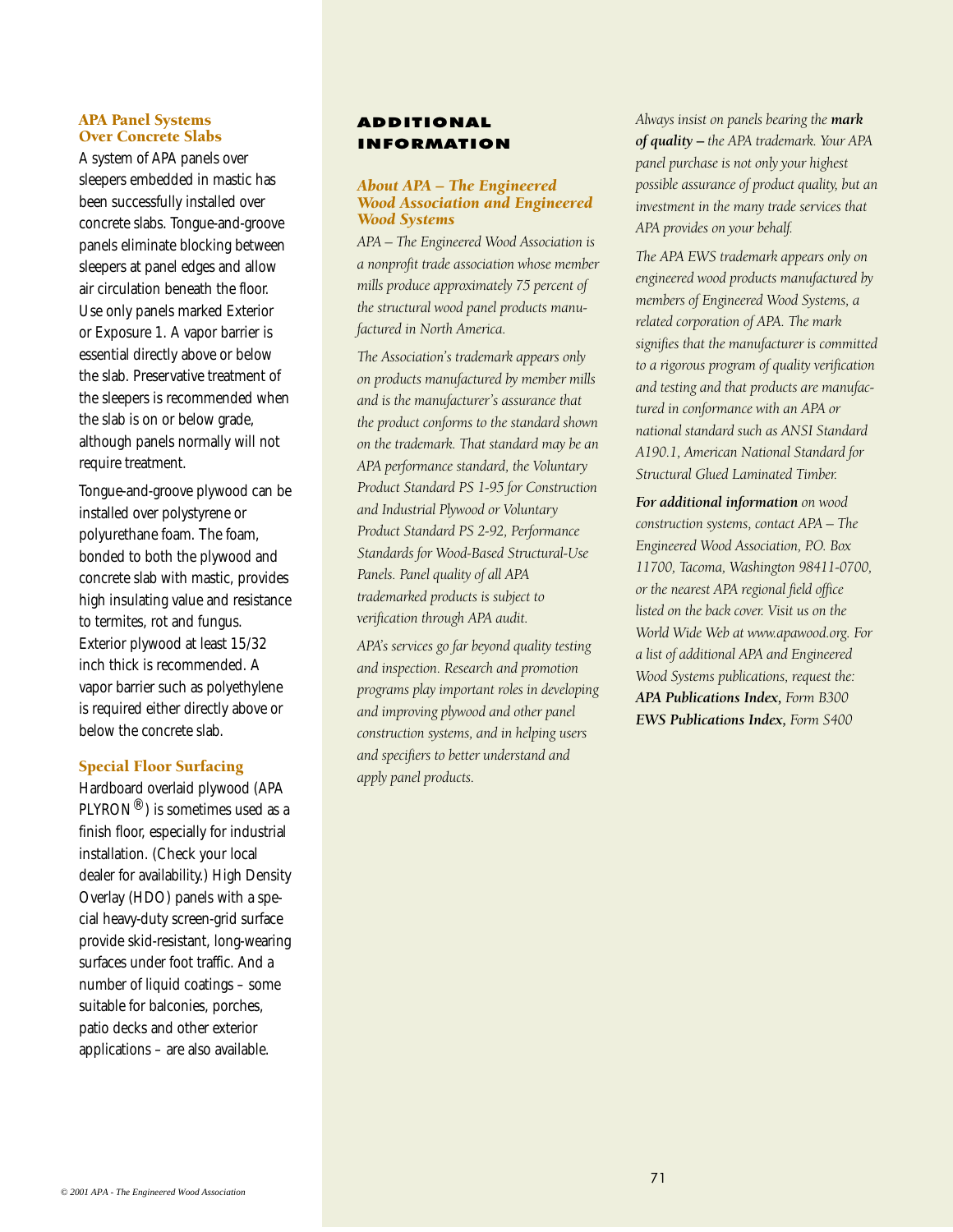# APA Panel Systems Over Concrete Slabs

A system of APA panels over sleepers embedded in mastic has been successfully installed over concrete slabs. Tongue-and-groove panels eliminate blocking between sleepers at panel edges and allow air circulation beneath the floor. Use only panels marked Exterior or Exposure 1. A vapor barrier is essential directly above or below the slab. Preservative treatment of the sleepers is recommended when the slab is on or below grade, although panels normally will not require treatment.

Tongue-and-groove plywood can be installed over polystyrene or polyurethane foam. The foam, bonded to both the plywood and concrete slab with mastic, provides high insulating value and resistance to termites, rot and fungus. Exterior plywood at least 15/32 inch thick is recommended. A vapor barrier such as polyethylene is required either directly above or below the concrete slab.

# Special Floor Surfacing

Hardboard overlaid plywood (APA  $PLYRON^{\circledR})$  is sometimes used as a finish floor, especially for industrial installation. (Check your local dealer for availability.) High Density Overlay (HDO) panels with a special heavy-duty screen-grid surface provide skid-resistant, long-wearing surfaces under foot traffic. And a number of liquid coatings – some suitable for balconies, porches, patio decks and other exterior applications – are also available.

# ADDITIONAL INFORMATION

# *About APA – The Engineered Wood Association and Engineered Wood Systems*

*APA – The Engineered Wood Association is a nonprofit trade association whose member mills produce approximately 75 percent of the structural wood panel products manufactured in North America.*

*The Association's trademark appears only on products manufactured by member mills and is the manufacturer's assurance that the product conforms to the standard shown on the trademark. That standard may be an APA performance standard, the Voluntary Product Standard PS 1-95 for Construction and Industrial Plywood or Voluntary Product Standard PS 2-92, Performance Standards for Wood-Based Structural-Use Panels. Panel quality of all APA trademarked products is subject to verification through APA audit.*

*APA's services go far beyond quality testing and inspection. Research and promotion programs play important roles in developing and improving plywood and other panel construction systems, and in helping users and specifiers to better understand and apply panel products.*

*Always insist on panels bearing the mark of quality* **–** *the APA trademark. Your APA panel purchase is not only your highest possible assurance of product quality, but an investment in the many trade services that APA provides on your behalf.*

*The APA EWS trademark appears only on engineered wood products manufactured by members of Engineered Wood Systems, a related corporation of APA. The mark signifies that the manufacturer is committed to a rigorous program of quality verification and testing and that products are manufactured in conformance with an APA or national standard such as ANSI Standard A190.1, American National Standard for Structural Glued Laminated Timber.*

*For additional information on wood construction systems, contact APA – The Engineered Wood Association, P.O. Box 11700, Tacoma, Washington 98411-0700, or the nearest APA regional field office listed on the back cover. Visit us on the World Wide Web at www.apawood.org. For a list of additional APA and Engineered Wood Systems publications, request the: APA Publications Index, Form B300 EWS Publications Index, Form S400*